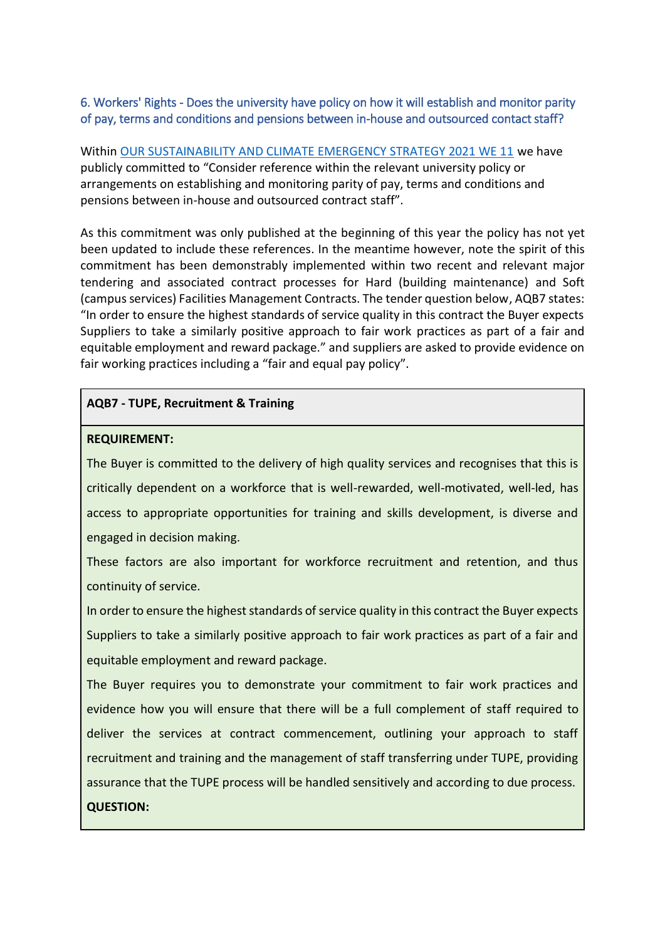## 6. Workers' Rights - Does the university have policy on how it will establish and monitor parity of pay, terms and conditions and pensions between in-house and outsourced contact staff?

Within [OUR SUSTAINABILITY AND CLIMATE EMERGENCY STRATEGY 2021 WE 11](https://online.flippingbook.com/view/898157623/19/#t=MTAscmlnaHQsMzE3Ljc5LDY3NS43MCw1NS45NSw0Ni4yNCxsZWZ0LHRvcA==) we have publicly committed to "Consider reference within the relevant university policy or arrangements on establishing and monitoring parity of pay, terms and conditions and pensions between in-house and outsourced contract staff".

As this commitment was only published at the beginning of this year the policy has not yet been updated to include these references. In the meantime however, note the spirit of this commitment has been demonstrably implemented within two recent and relevant major tendering and associated contract processes for Hard (building maintenance) and Soft (campus services) Facilities Management Contracts. The tender question below, AQB7 states: "In order to ensure the highest standards of service quality in this contract the Buyer expects Suppliers to take a similarly positive approach to fair work practices as part of a fair and equitable employment and reward package." and suppliers are asked to provide evidence on fair working practices including a "fair and equal pay policy".

### **AQB7 - TUPE, Recruitment & Training**

### **REQUIREMENT:**

The Buyer is committed to the delivery of high quality services and recognises that this is critically dependent on a workforce that is well-rewarded, well-motivated, well-led, has access to appropriate opportunities for training and skills development, is diverse and engaged in decision making.

These factors are also important for workforce recruitment and retention, and thus continuity of service.

In order to ensure the highest standards of service quality in this contract the Buyer expects Suppliers to take a similarly positive approach to fair work practices as part of a fair and equitable employment and reward package.

The Buyer requires you to demonstrate your commitment to fair work practices and evidence how you will ensure that there will be a full complement of staff required to deliver the services at contract commencement, outlining your approach to staff recruitment and training and the management of staff transferring under TUPE, providing assurance that the TUPE process will be handled sensitively and according to due process. **QUESTION:**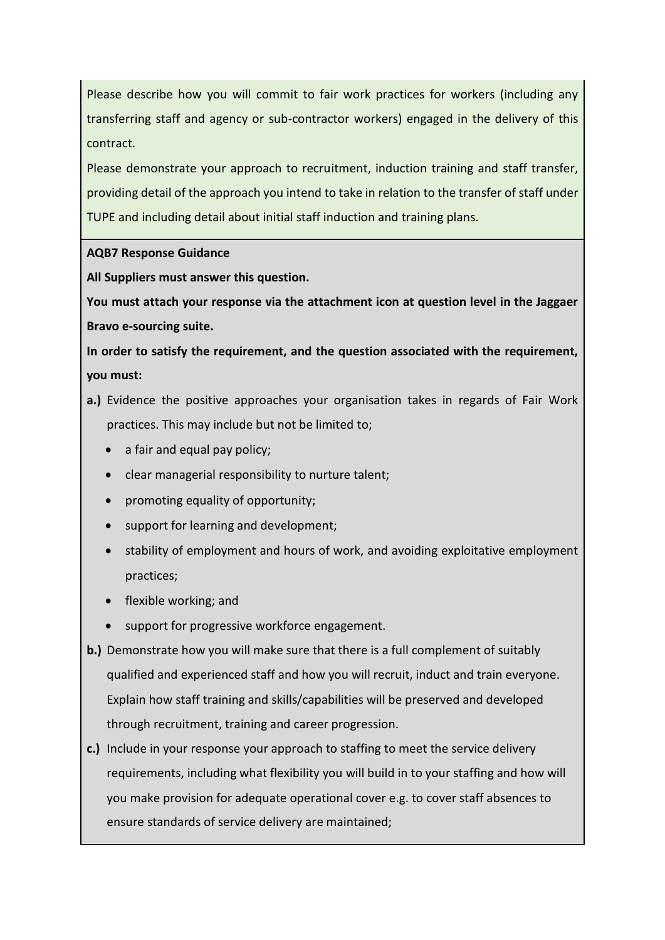Please describe how you will commit to fair work practices for workers (including any transferring staff and agency or sub-contractor workers) engaged in the delivery of this contract.

Please demonstrate your approach to recruitment, induction training and staff transfer, providing detail of the approach you intend to take in relation to the transfer of staff under TUPE and including detail about initial staff induction and training plans.

# **AQB7 Response Guidance**

**All Suppliers must answer this question.**

**You must attach your response via the attachment icon at question level in the Jaggaer Bravo e-sourcing suite.** 

**In order to satisfy the requirement, and the question associated with the requirement, you must:** 

- **a.)** Evidence the positive approaches your organisation takes in regards of Fair Work practices. This may include but not be limited to;
	- a fair and equal pay policy;
	- clear managerial responsibility to nurture talent;
	- promoting equality of opportunity;
	- support for learning and development;
	- stability of employment and hours of work, and avoiding exploitative employment practices;
	- flexible working; and
	- support for progressive workforce engagement.
- **b.)** Demonstrate how you will make sure that there is a full complement of suitably qualified and experienced staff and how you will recruit, induct and train everyone. Explain how staff training and skills/capabilities will be preserved and developed through recruitment, training and career progression.
- **c.)** Include in your response your approach to staffing to meet the service delivery requirements, including what flexibility you will build in to your staffing and how will you make provision for adequate operational cover e.g. to cover staff absences to ensure standards of service delivery are maintained;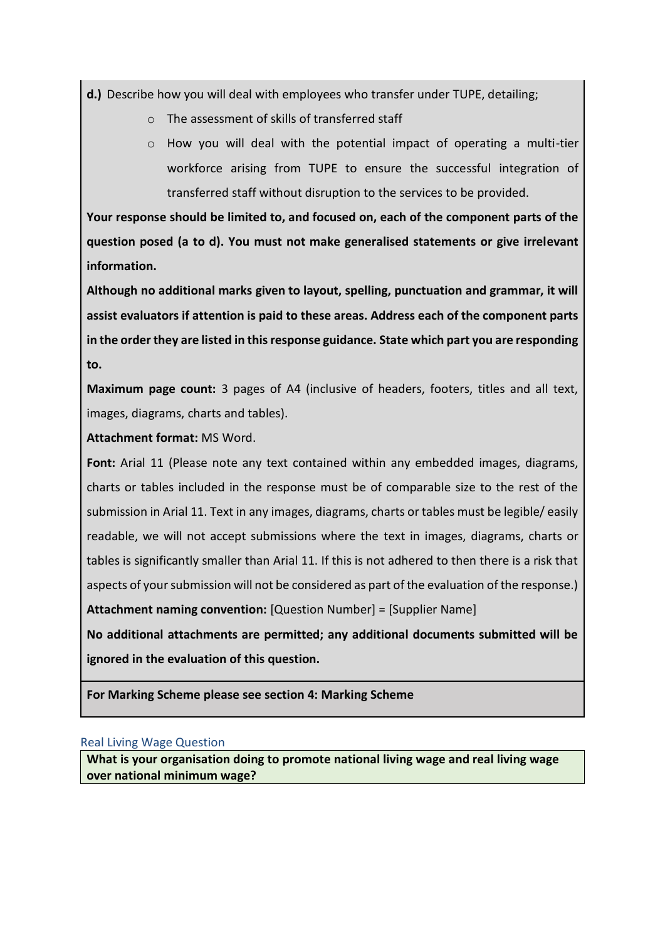**d.)** Describe how you will deal with employees who transfer under TUPE, detailing;

- o The assessment of skills of transferred staff
- $\circ$  How you will deal with the potential impact of operating a multi-tier workforce arising from TUPE to ensure the successful integration of transferred staff without disruption to the services to be provided.

**Your response should be limited to, and focused on, each of the component parts of the question posed (a to d). You must not make generalised statements or give irrelevant information.** 

**Although no additional marks given to layout, spelling, punctuation and grammar, it will assist evaluators if attention is paid to these areas. Address each of the component parts in the order they are listed in this response guidance. State which part you are responding to.**

**Maximum page count:** 3 pages of A4 (inclusive of headers, footers, titles and all text, images, diagrams, charts and tables).

### **Attachment format:** MS Word.

**Font:** Arial 11 (Please note any text contained within any embedded images, diagrams, charts or tables included in the response must be of comparable size to the rest of the submission in Arial 11. Text in any images, diagrams, charts or tables must be legible/ easily readable, we will not accept submissions where the text in images, diagrams, charts or tables is significantly smaller than Arial 11. If this is not adhered to then there is a risk that aspects of your submission will not be considered as part of the evaluation of the response.)

**Attachment naming convention:** [Question Number] = [Supplier Name]

**No additional attachments are permitted; any additional documents submitted will be ignored in the evaluation of this question.**

**For Marking Scheme please see section 4: Marking Scheme**

### Real Living Wage Question

**What is your organisation doing to promote national living wage and real living wage over national minimum wage?**